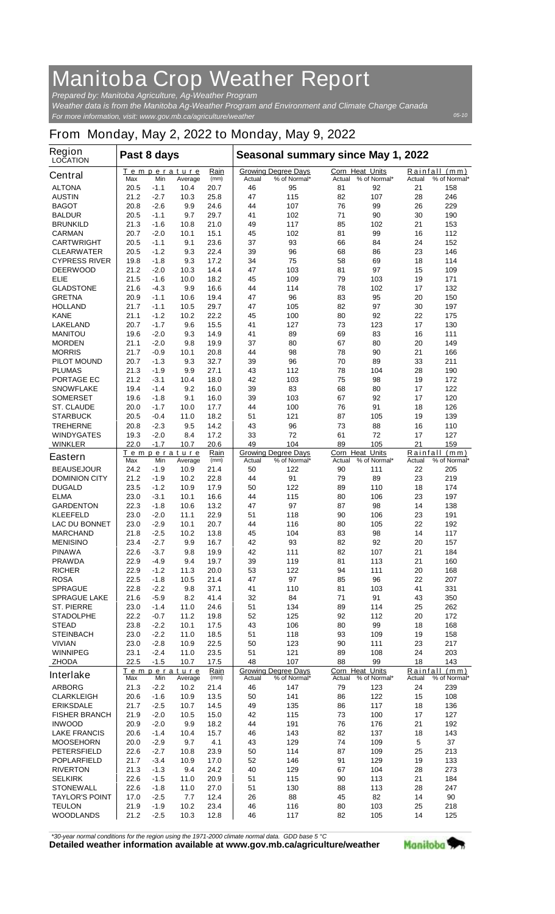## **Manitoba Crop Weather Report**

*For more information, visit: www.gov.mb.ca/agriculture/weather Prepared by: Manitoba Agriculture, Ag-Weather Program Weather data is from the Manitoba Ag-Weather Program and Environment and Climate Change Canada*

## **From Monday, May 2, 2022 to Monday, May 9, 2022**

| <b>Growing Degree Days</b><br><b>Corn Heat Units</b><br>Rainfall (mm)<br>Rain<br><u>Temperature</u><br><b>Central</b><br>(mm)<br>Actual<br>% of Normal*<br>Actual<br>% of Normal*<br>Actual<br>% of Normal*<br>Max<br>Min<br>Average<br><b>ALTONA</b><br>95<br>92<br>158<br>20.5<br>$-1.1$<br>10.4<br>20.7<br>46<br>81<br>21<br><b>AUSTIN</b><br>21.2<br>$-2.7$<br>10.3<br>25.8<br>47<br>115<br>82<br>107<br>28<br>246<br>99<br><b>BAGOT</b><br>-2.6<br>9.9<br>24.6<br>44<br>107<br>76<br>26<br>229<br>20.8<br>41<br>71<br>90<br><b>BALDUR</b><br>20.5<br>$-1.1$<br>9.7<br>29.7<br>102<br>30<br>190<br>85<br><b>BRUNKILD</b><br>21.3<br>-1.6<br>10.8<br>21.0<br>49<br>117<br>102<br>21<br>153<br>15.1<br>45<br>99<br><b>CARMAN</b><br>20.7<br>$-2.0$<br>10.1<br>102<br>81<br>16<br>112<br>152<br>20.5<br>$-1.1$<br>9.1<br>23.6<br>37<br>93<br>66<br>84<br>24<br><b>CARTWRIGHT</b><br>$-1.2$<br>9.3<br>22.4<br>39<br>96<br>23<br>20.5<br>68<br>86<br>146<br><b>CLEARWATER</b><br>17.2<br>75<br>58<br>69<br>114<br><b>CYPRESS RIVER</b><br>19.8<br>$-1.8$<br>9.3<br>34<br>18<br>14.4<br>97<br>15<br><b>DEERWOOD</b><br>21.2<br>$-2.0$<br>10.3<br>47<br>103<br>81<br>109<br>$-1.6$<br>45<br>103<br><b>ELIE</b><br>21.5<br>10.0<br>18.2<br>109<br>79<br>19<br>171<br><b>GLADSTONE</b><br>21.6<br>-4.3<br>9.9<br>16.6<br>44<br>114<br>78<br>102<br>17<br>132<br>96<br>150<br><b>GRETNA</b><br>20.9<br>$-1.1$<br>10.6<br>19.4<br>47<br>83<br>95<br>20<br>97<br><b>HOLLAND</b><br>21.7<br>$-1.1$<br>10.5<br>29.7<br>47<br>105<br>82<br>30<br>197<br>22.2<br>45<br>92<br>175<br><b>KANE</b><br>21.1<br>$-1.2$<br>10.2<br>100<br>80<br>22<br>$-1.7$<br><b>LAKELAND</b><br>20.7<br>9.6<br>15.5<br>41<br>127<br>73<br>123<br>17<br>130<br>69<br><b>MANITOU</b><br>19.6<br>$-2.0$<br>9.3<br>14.9<br>41<br>89<br>83<br>16<br>111<br>21.1<br>-2.0<br>9.8<br>19.9<br>37<br>80<br>67<br>80<br>20<br>149<br><b>MORDEN</b><br>78<br>90<br>21<br>166<br><b>MORRIS</b><br>21.7<br>-0.9<br>10.1<br>20.8<br>44<br>98<br>39<br>96<br>70<br>89<br>33<br><b>PILOT MOUND</b><br>20.7<br>-1.3<br>9.3<br>32.7<br>211<br><b>PLUMAS</b><br>21.3<br>-1.9<br>9.9<br>27.1<br>43<br>112<br>78<br>104<br>28<br>190<br>42<br>75<br>98<br><b>PORTAGE EC</b><br>21.2<br>$-3.1$<br>18.0<br>103<br>19<br>172<br>10.4<br>39<br>83<br>68<br>122<br><b>SNOWFLAKE</b><br>19.4<br>$-1.4$<br>9.2<br>16.0<br>80<br>17<br>92<br>120<br><b>SOMERSET</b><br>19.6<br>-1.8<br>9.1<br>16.0<br>39<br>103<br>67<br>17<br>$-1.7$<br><b>ST. CLAUDE</b><br>17.7<br>44<br>100<br>76<br>91<br>18<br>126<br>20.0<br>10.0<br>51<br>87<br><b>STARBUCK</b><br>20.5<br>-0.4<br>11.0<br>18.2<br>121<br>105<br>19<br>139<br>88<br><b>TREHERNE</b><br>20.8<br>$-2.3$<br>9.5<br>14.2<br>43<br>96<br>73<br>16<br>110<br>72<br>72<br><b>WINDYGATES</b><br>19.3<br>$-2.0$<br>8.4<br>17.2<br>33<br>61<br>17<br>127<br>$-1.7$<br>49<br>104<br>89<br>105<br>21<br>159<br><b>WINKLER</b><br>22.0<br>10.7<br>20.6<br>Rain<br><b>Corn Heat Units</b><br>Rainfall (mm)<br>Temperature<br><b>Growing Degree Days</b><br><b>Eastern</b><br>Max<br>Min<br>(mm)<br>Actual<br>% of Normal*<br>Actual<br>% of Normal*<br>Actual<br>% of Normal*<br>Average<br><b>BEAUSEJOUR</b><br>24.2<br>-1.9<br>10.9<br>21.4<br>50<br>122<br>90<br>111<br>22<br>205<br>91<br>79<br>89<br>219<br><b>DOMINION CITY</b><br>21.2<br>-1.9<br>10.2<br>22.8<br>44<br>23<br>50<br><b>DUGALD</b><br>23.5<br>$-1.2$<br>10.9<br>17.9<br>122<br>89<br>110<br>18<br>174<br>106<br><b>ELMA</b><br>23.0<br>$-3.1$<br>10.1<br>16.6<br>44<br>115<br>80<br>23<br>197<br>98<br><b>GARDENTON</b><br>22.3<br>$-1.8$<br>10.6<br>13.2<br>47<br>97<br>87<br>14<br>138<br><b>KLEEFELD</b><br>23.0<br>$-2.0$<br>11.1<br>22.9<br>51<br>118<br>90<br>106<br>23<br>191<br><b>LAC DU BONNET</b><br>23.0<br>$-2.9$<br>10.1<br>20.7<br>44<br>116<br>80<br>105<br>22<br>192<br>45<br>21.8<br>-2.5<br>10.2<br>13.8<br>104<br>83<br>98<br>14<br>117<br><b>MARCHAND</b><br>$-2.7$<br>16.7<br>42<br>93<br>82<br>92<br>20<br>157<br><b>MENISINO</b><br>23.4<br>9.9<br>22.6<br>9.8<br>19.9<br>42<br>82<br>21<br>184<br><b>PINAWA</b><br>$-3.7$<br>111<br>107<br>22.9<br>-4.9<br>9.4<br>19.7<br>39<br>119<br>81<br>113<br>21<br>160<br><b>PRAWDA</b><br><b>RICHER</b><br>22.9<br>$-1.2$<br>53<br>122<br>111<br>168<br>11.3<br>20.0<br>94<br>20<br><b>ROSA</b><br>22.5<br>47<br>97<br>85<br>96<br>$-1.8$<br>10.5<br>21.4<br>22<br>207<br><b>SPRAGUE</b><br>22.8<br>$-2.2$<br>9.8<br>37.1<br>41<br>110<br>81<br>103<br>41<br>331<br>41.4<br>84<br>91<br>350<br><b>SPRAGUE LAKE</b><br>21.6<br>-5.9<br>8.2<br>32<br>71<br>43<br>51<br>134<br><b>ST. PIERRE</b><br>23.0<br>$-1.4$<br>11.0<br>24.6<br>89<br>114<br>25<br>262<br>92<br><b>STADOLPHE</b><br>22.2<br>$-0.7$<br>11.2<br>19.8<br>52<br>125<br>112<br>20<br>172<br>43<br>106<br>99<br>168<br><b>STEAD</b><br>23.8<br>$-2.2$<br>10.1<br>17.5<br>80<br>18<br>51<br>158<br><b>STEINBACH</b><br>23.0<br>$-2.2$<br>11.0<br>18.5<br>118<br>93<br>109<br>19<br>123<br><b>VIVIAN</b><br>23.0<br>$-2.8$<br>10.9<br>22.5<br>50<br>90<br>111<br>23<br>217<br>$-2.4$<br>23.5<br>51<br>121<br>89<br>108<br>24<br>203<br><b>WINNIPEG</b><br>23.1<br>11.0<br>99<br>22.5<br>$-1.5$<br>17.5<br>48<br>107<br>88<br>18<br>143<br><b>ZHODA</b><br>10.7<br>Corn Heat Units<br>Rainfall (mm)<br>Temperature<br>Rain<br><b>Growing Degree Days</b><br><b>Interlake</b><br>% of Normal*<br>Actual % of Normal*<br>Actual<br>% of Normal*<br>Max<br>Min<br>(mm)<br>Actual<br>Average<br><b>ARBORG</b><br>21.3<br>-2.2<br>10.2<br>21.4<br>46<br>147<br>79<br>123<br>24<br>239<br>50<br>141<br>86<br>122<br>15<br>108<br><b>CLARKLEIGH</b><br>20.6<br>$-1.6$<br>10.9<br>13.5<br><b>ERIKSDALE</b><br>21.7<br>$-2.5$<br>10.7<br>14.5<br>49<br>135<br>86<br>117<br>18<br>136<br>100<br><b>FISHER BRANCH</b><br>21.9<br>$-2.0$<br>10.5<br>15.0<br>42<br>115<br>73<br>17<br>127<br><b>INWOOD</b><br>20.9<br>-2.0<br>9.9<br>18.2<br>44<br>191<br>76<br>176<br>21<br>192<br>15.7<br>143<br>82<br>143<br><b>LAKE FRANCIS</b><br>20.6<br>-1.4<br>10.4<br>46<br>137<br>18<br>4.1<br>129<br>74<br>109<br>5<br>37<br><b>MOOSEHORN</b><br>20.0<br>$-2.9$<br>9.7<br>43<br><b>PETERSFIELD</b><br>22.6<br>-2.7<br>10.8<br>23.9<br>50<br>114<br>87<br>109<br>25<br>213<br>52<br>146<br>129<br>133<br><b>POPLARFIELD</b><br>21.7<br>$-3.4$<br>10.9<br>17.0<br>91<br>19<br>40<br>129<br><b>RIVERTON</b><br>21.3<br>$-1.3$<br>9.4<br>24.2<br>67<br>104<br>28<br>273<br>22.6<br>$-1.5$<br>20.9<br>51<br>115<br>90<br>113<br>21<br>184<br><b>SELKIRK</b><br>11.0<br>$-1.8$<br>51<br>130<br>113<br><b>STONEWALL</b><br>22.6<br>11.0<br>27.0<br>88<br>28<br>247<br>88<br>82<br>90<br><b>TAYLOR'S POINT</b><br>17.0<br>$-2.5$<br>7.7<br>12.4<br>26<br>45<br>14<br><b>TEULON</b><br>21.9<br>$-1.9$<br>10.2<br>23.4<br>116<br>80<br>103<br>25<br>218<br>46<br><b>WOODLANDS</b><br>21.2<br>-2.5<br>10.3<br>12.8<br>46<br>117<br>82<br>105<br>14<br>125 | <b>Region</b><br><b>LOCATION</b> | Past 8 days |  |  |  | Seasonal summary since May 1, 2022 |  |  |  |  |  |
|------------------------------------------------------------------------------------------------------------------------------------------------------------------------------------------------------------------------------------------------------------------------------------------------------------------------------------------------------------------------------------------------------------------------------------------------------------------------------------------------------------------------------------------------------------------------------------------------------------------------------------------------------------------------------------------------------------------------------------------------------------------------------------------------------------------------------------------------------------------------------------------------------------------------------------------------------------------------------------------------------------------------------------------------------------------------------------------------------------------------------------------------------------------------------------------------------------------------------------------------------------------------------------------------------------------------------------------------------------------------------------------------------------------------------------------------------------------------------------------------------------------------------------------------------------------------------------------------------------------------------------------------------------------------------------------------------------------------------------------------------------------------------------------------------------------------------------------------------------------------------------------------------------------------------------------------------------------------------------------------------------------------------------------------------------------------------------------------------------------------------------------------------------------------------------------------------------------------------------------------------------------------------------------------------------------------------------------------------------------------------------------------------------------------------------------------------------------------------------------------------------------------------------------------------------------------------------------------------------------------------------------------------------------------------------------------------------------------------------------------------------------------------------------------------------------------------------------------------------------------------------------------------------------------------------------------------------------------------------------------------------------------------------------------------------------------------------------------------------------------------------------------------------------------------------------------------------------------------------------------------------------------------------------------------------------------------------------------------------------------------------------------------------------------------------------------------------------------------------------------------------------------------------------------------------------------------------------------------------------------------------------------------------------------------------------------------------------------------------------------------------------------------------------------------------------------------------------------------------------------------------------------------------------------------------------------------------------------------------------------------------------------------------------------------------------------------------------------------------------------------------------------------------------------------------------------------------------------------------------------------------------------------------------------------------------------------------------------------------------------------------------------------------------------------------------------------------------------------------------------------------------------------------------------------------------------------------------------------------------------------------------------------------------------------------------------------------------------------------------------------------------------------------------------------------------------------------------------------------------------------------------------------------------------------------------------------------------------------------------------------------------------------------------------------------------------------------------------------------------------------------------------------------------------------------------------------------------------------------------------------------------------------------------------------------------------------------------------------------------------------------------------------------------------------------------------------------------------------------------------------------------------------------------------------------------------------------------------------------------------------------------------------------------------------------------------------------------------------------------------------------------------------------------------------------------------------------------------------------------------------------------------------------------------------------------------------------------------------------------------------------------------------------------------------------------------------------------------------------------------------------------------------------------------------------------------------------------------------------------------------------------------------------------------------------------------------------------------------------------------------------------------------------------------------------------------------------------------------------------------------------------------------------------------------------------------------------------------------------------------------------------------------------------------------------------------------------------------------------------------------------------------------------------------------------------------------------------------------------------------------------------------------------|----------------------------------|-------------|--|--|--|------------------------------------|--|--|--|--|--|
|                                                                                                                                                                                                                                                                                                                                                                                                                                                                                                                                                                                                                                                                                                                                                                                                                                                                                                                                                                                                                                                                                                                                                                                                                                                                                                                                                                                                                                                                                                                                                                                                                                                                                                                                                                                                                                                                                                                                                                                                                                                                                                                                                                                                                                                                                                                                                                                                                                                                                                                                                                                                                                                                                                                                                                                                                                                                                                                                                                                                                                                                                                                                                                                                                                                                                                                                                                                                                                                                                                                                                                                                                                                                                                                                                                                                                                                                                                                                                                                                                                                                                                                                                                                                                                                                                                                                                                                                                                                                                                                                                                                                                                                                                                                                                                                                                                                                                                                                                                                                                                                                                                                                                                                                                                                                                                                                                                                                                                                                                                                                                                                                                                                                                                                                                                                                                                                                                                                                                                                                                                                                                                                                                                                                                                                                                                                                                                                                                                                                                                                                                                                                                                                                                                                                                                                                                                                                                                            |                                  |             |  |  |  |                                    |  |  |  |  |  |
|                                                                                                                                                                                                                                                                                                                                                                                                                                                                                                                                                                                                                                                                                                                                                                                                                                                                                                                                                                                                                                                                                                                                                                                                                                                                                                                                                                                                                                                                                                                                                                                                                                                                                                                                                                                                                                                                                                                                                                                                                                                                                                                                                                                                                                                                                                                                                                                                                                                                                                                                                                                                                                                                                                                                                                                                                                                                                                                                                                                                                                                                                                                                                                                                                                                                                                                                                                                                                                                                                                                                                                                                                                                                                                                                                                                                                                                                                                                                                                                                                                                                                                                                                                                                                                                                                                                                                                                                                                                                                                                                                                                                                                                                                                                                                                                                                                                                                                                                                                                                                                                                                                                                                                                                                                                                                                                                                                                                                                                                                                                                                                                                                                                                                                                                                                                                                                                                                                                                                                                                                                                                                                                                                                                                                                                                                                                                                                                                                                                                                                                                                                                                                                                                                                                                                                                                                                                                                                            |                                  |             |  |  |  |                                    |  |  |  |  |  |
|                                                                                                                                                                                                                                                                                                                                                                                                                                                                                                                                                                                                                                                                                                                                                                                                                                                                                                                                                                                                                                                                                                                                                                                                                                                                                                                                                                                                                                                                                                                                                                                                                                                                                                                                                                                                                                                                                                                                                                                                                                                                                                                                                                                                                                                                                                                                                                                                                                                                                                                                                                                                                                                                                                                                                                                                                                                                                                                                                                                                                                                                                                                                                                                                                                                                                                                                                                                                                                                                                                                                                                                                                                                                                                                                                                                                                                                                                                                                                                                                                                                                                                                                                                                                                                                                                                                                                                                                                                                                                                                                                                                                                                                                                                                                                                                                                                                                                                                                                                                                                                                                                                                                                                                                                                                                                                                                                                                                                                                                                                                                                                                                                                                                                                                                                                                                                                                                                                                                                                                                                                                                                                                                                                                                                                                                                                                                                                                                                                                                                                                                                                                                                                                                                                                                                                                                                                                                                                            |                                  |             |  |  |  |                                    |  |  |  |  |  |
|                                                                                                                                                                                                                                                                                                                                                                                                                                                                                                                                                                                                                                                                                                                                                                                                                                                                                                                                                                                                                                                                                                                                                                                                                                                                                                                                                                                                                                                                                                                                                                                                                                                                                                                                                                                                                                                                                                                                                                                                                                                                                                                                                                                                                                                                                                                                                                                                                                                                                                                                                                                                                                                                                                                                                                                                                                                                                                                                                                                                                                                                                                                                                                                                                                                                                                                                                                                                                                                                                                                                                                                                                                                                                                                                                                                                                                                                                                                                                                                                                                                                                                                                                                                                                                                                                                                                                                                                                                                                                                                                                                                                                                                                                                                                                                                                                                                                                                                                                                                                                                                                                                                                                                                                                                                                                                                                                                                                                                                                                                                                                                                                                                                                                                                                                                                                                                                                                                                                                                                                                                                                                                                                                                                                                                                                                                                                                                                                                                                                                                                                                                                                                                                                                                                                                                                                                                                                                                            |                                  |             |  |  |  |                                    |  |  |  |  |  |
|                                                                                                                                                                                                                                                                                                                                                                                                                                                                                                                                                                                                                                                                                                                                                                                                                                                                                                                                                                                                                                                                                                                                                                                                                                                                                                                                                                                                                                                                                                                                                                                                                                                                                                                                                                                                                                                                                                                                                                                                                                                                                                                                                                                                                                                                                                                                                                                                                                                                                                                                                                                                                                                                                                                                                                                                                                                                                                                                                                                                                                                                                                                                                                                                                                                                                                                                                                                                                                                                                                                                                                                                                                                                                                                                                                                                                                                                                                                                                                                                                                                                                                                                                                                                                                                                                                                                                                                                                                                                                                                                                                                                                                                                                                                                                                                                                                                                                                                                                                                                                                                                                                                                                                                                                                                                                                                                                                                                                                                                                                                                                                                                                                                                                                                                                                                                                                                                                                                                                                                                                                                                                                                                                                                                                                                                                                                                                                                                                                                                                                                                                                                                                                                                                                                                                                                                                                                                                                            |                                  |             |  |  |  |                                    |  |  |  |  |  |
|                                                                                                                                                                                                                                                                                                                                                                                                                                                                                                                                                                                                                                                                                                                                                                                                                                                                                                                                                                                                                                                                                                                                                                                                                                                                                                                                                                                                                                                                                                                                                                                                                                                                                                                                                                                                                                                                                                                                                                                                                                                                                                                                                                                                                                                                                                                                                                                                                                                                                                                                                                                                                                                                                                                                                                                                                                                                                                                                                                                                                                                                                                                                                                                                                                                                                                                                                                                                                                                                                                                                                                                                                                                                                                                                                                                                                                                                                                                                                                                                                                                                                                                                                                                                                                                                                                                                                                                                                                                                                                                                                                                                                                                                                                                                                                                                                                                                                                                                                                                                                                                                                                                                                                                                                                                                                                                                                                                                                                                                                                                                                                                                                                                                                                                                                                                                                                                                                                                                                                                                                                                                                                                                                                                                                                                                                                                                                                                                                                                                                                                                                                                                                                                                                                                                                                                                                                                                                                            |                                  |             |  |  |  |                                    |  |  |  |  |  |
|                                                                                                                                                                                                                                                                                                                                                                                                                                                                                                                                                                                                                                                                                                                                                                                                                                                                                                                                                                                                                                                                                                                                                                                                                                                                                                                                                                                                                                                                                                                                                                                                                                                                                                                                                                                                                                                                                                                                                                                                                                                                                                                                                                                                                                                                                                                                                                                                                                                                                                                                                                                                                                                                                                                                                                                                                                                                                                                                                                                                                                                                                                                                                                                                                                                                                                                                                                                                                                                                                                                                                                                                                                                                                                                                                                                                                                                                                                                                                                                                                                                                                                                                                                                                                                                                                                                                                                                                                                                                                                                                                                                                                                                                                                                                                                                                                                                                                                                                                                                                                                                                                                                                                                                                                                                                                                                                                                                                                                                                                                                                                                                                                                                                                                                                                                                                                                                                                                                                                                                                                                                                                                                                                                                                                                                                                                                                                                                                                                                                                                                                                                                                                                                                                                                                                                                                                                                                                                            |                                  |             |  |  |  |                                    |  |  |  |  |  |
|                                                                                                                                                                                                                                                                                                                                                                                                                                                                                                                                                                                                                                                                                                                                                                                                                                                                                                                                                                                                                                                                                                                                                                                                                                                                                                                                                                                                                                                                                                                                                                                                                                                                                                                                                                                                                                                                                                                                                                                                                                                                                                                                                                                                                                                                                                                                                                                                                                                                                                                                                                                                                                                                                                                                                                                                                                                                                                                                                                                                                                                                                                                                                                                                                                                                                                                                                                                                                                                                                                                                                                                                                                                                                                                                                                                                                                                                                                                                                                                                                                                                                                                                                                                                                                                                                                                                                                                                                                                                                                                                                                                                                                                                                                                                                                                                                                                                                                                                                                                                                                                                                                                                                                                                                                                                                                                                                                                                                                                                                                                                                                                                                                                                                                                                                                                                                                                                                                                                                                                                                                                                                                                                                                                                                                                                                                                                                                                                                                                                                                                                                                                                                                                                                                                                                                                                                                                                                                            |                                  |             |  |  |  |                                    |  |  |  |  |  |
|                                                                                                                                                                                                                                                                                                                                                                                                                                                                                                                                                                                                                                                                                                                                                                                                                                                                                                                                                                                                                                                                                                                                                                                                                                                                                                                                                                                                                                                                                                                                                                                                                                                                                                                                                                                                                                                                                                                                                                                                                                                                                                                                                                                                                                                                                                                                                                                                                                                                                                                                                                                                                                                                                                                                                                                                                                                                                                                                                                                                                                                                                                                                                                                                                                                                                                                                                                                                                                                                                                                                                                                                                                                                                                                                                                                                                                                                                                                                                                                                                                                                                                                                                                                                                                                                                                                                                                                                                                                                                                                                                                                                                                                                                                                                                                                                                                                                                                                                                                                                                                                                                                                                                                                                                                                                                                                                                                                                                                                                                                                                                                                                                                                                                                                                                                                                                                                                                                                                                                                                                                                                                                                                                                                                                                                                                                                                                                                                                                                                                                                                                                                                                                                                                                                                                                                                                                                                                                            |                                  |             |  |  |  |                                    |  |  |  |  |  |
|                                                                                                                                                                                                                                                                                                                                                                                                                                                                                                                                                                                                                                                                                                                                                                                                                                                                                                                                                                                                                                                                                                                                                                                                                                                                                                                                                                                                                                                                                                                                                                                                                                                                                                                                                                                                                                                                                                                                                                                                                                                                                                                                                                                                                                                                                                                                                                                                                                                                                                                                                                                                                                                                                                                                                                                                                                                                                                                                                                                                                                                                                                                                                                                                                                                                                                                                                                                                                                                                                                                                                                                                                                                                                                                                                                                                                                                                                                                                                                                                                                                                                                                                                                                                                                                                                                                                                                                                                                                                                                                                                                                                                                                                                                                                                                                                                                                                                                                                                                                                                                                                                                                                                                                                                                                                                                                                                                                                                                                                                                                                                                                                                                                                                                                                                                                                                                                                                                                                                                                                                                                                                                                                                                                                                                                                                                                                                                                                                                                                                                                                                                                                                                                                                                                                                                                                                                                                                                            |                                  |             |  |  |  |                                    |  |  |  |  |  |
|                                                                                                                                                                                                                                                                                                                                                                                                                                                                                                                                                                                                                                                                                                                                                                                                                                                                                                                                                                                                                                                                                                                                                                                                                                                                                                                                                                                                                                                                                                                                                                                                                                                                                                                                                                                                                                                                                                                                                                                                                                                                                                                                                                                                                                                                                                                                                                                                                                                                                                                                                                                                                                                                                                                                                                                                                                                                                                                                                                                                                                                                                                                                                                                                                                                                                                                                                                                                                                                                                                                                                                                                                                                                                                                                                                                                                                                                                                                                                                                                                                                                                                                                                                                                                                                                                                                                                                                                                                                                                                                                                                                                                                                                                                                                                                                                                                                                                                                                                                                                                                                                                                                                                                                                                                                                                                                                                                                                                                                                                                                                                                                                                                                                                                                                                                                                                                                                                                                                                                                                                                                                                                                                                                                                                                                                                                                                                                                                                                                                                                                                                                                                                                                                                                                                                                                                                                                                                                            |                                  |             |  |  |  |                                    |  |  |  |  |  |
|                                                                                                                                                                                                                                                                                                                                                                                                                                                                                                                                                                                                                                                                                                                                                                                                                                                                                                                                                                                                                                                                                                                                                                                                                                                                                                                                                                                                                                                                                                                                                                                                                                                                                                                                                                                                                                                                                                                                                                                                                                                                                                                                                                                                                                                                                                                                                                                                                                                                                                                                                                                                                                                                                                                                                                                                                                                                                                                                                                                                                                                                                                                                                                                                                                                                                                                                                                                                                                                                                                                                                                                                                                                                                                                                                                                                                                                                                                                                                                                                                                                                                                                                                                                                                                                                                                                                                                                                                                                                                                                                                                                                                                                                                                                                                                                                                                                                                                                                                                                                                                                                                                                                                                                                                                                                                                                                                                                                                                                                                                                                                                                                                                                                                                                                                                                                                                                                                                                                                                                                                                                                                                                                                                                                                                                                                                                                                                                                                                                                                                                                                                                                                                                                                                                                                                                                                                                                                                            |                                  |             |  |  |  |                                    |  |  |  |  |  |
|                                                                                                                                                                                                                                                                                                                                                                                                                                                                                                                                                                                                                                                                                                                                                                                                                                                                                                                                                                                                                                                                                                                                                                                                                                                                                                                                                                                                                                                                                                                                                                                                                                                                                                                                                                                                                                                                                                                                                                                                                                                                                                                                                                                                                                                                                                                                                                                                                                                                                                                                                                                                                                                                                                                                                                                                                                                                                                                                                                                                                                                                                                                                                                                                                                                                                                                                                                                                                                                                                                                                                                                                                                                                                                                                                                                                                                                                                                                                                                                                                                                                                                                                                                                                                                                                                                                                                                                                                                                                                                                                                                                                                                                                                                                                                                                                                                                                                                                                                                                                                                                                                                                                                                                                                                                                                                                                                                                                                                                                                                                                                                                                                                                                                                                                                                                                                                                                                                                                                                                                                                                                                                                                                                                                                                                                                                                                                                                                                                                                                                                                                                                                                                                                                                                                                                                                                                                                                                            |                                  |             |  |  |  |                                    |  |  |  |  |  |
|                                                                                                                                                                                                                                                                                                                                                                                                                                                                                                                                                                                                                                                                                                                                                                                                                                                                                                                                                                                                                                                                                                                                                                                                                                                                                                                                                                                                                                                                                                                                                                                                                                                                                                                                                                                                                                                                                                                                                                                                                                                                                                                                                                                                                                                                                                                                                                                                                                                                                                                                                                                                                                                                                                                                                                                                                                                                                                                                                                                                                                                                                                                                                                                                                                                                                                                                                                                                                                                                                                                                                                                                                                                                                                                                                                                                                                                                                                                                                                                                                                                                                                                                                                                                                                                                                                                                                                                                                                                                                                                                                                                                                                                                                                                                                                                                                                                                                                                                                                                                                                                                                                                                                                                                                                                                                                                                                                                                                                                                                                                                                                                                                                                                                                                                                                                                                                                                                                                                                                                                                                                                                                                                                                                                                                                                                                                                                                                                                                                                                                                                                                                                                                                                                                                                                                                                                                                                                                            |                                  |             |  |  |  |                                    |  |  |  |  |  |
|                                                                                                                                                                                                                                                                                                                                                                                                                                                                                                                                                                                                                                                                                                                                                                                                                                                                                                                                                                                                                                                                                                                                                                                                                                                                                                                                                                                                                                                                                                                                                                                                                                                                                                                                                                                                                                                                                                                                                                                                                                                                                                                                                                                                                                                                                                                                                                                                                                                                                                                                                                                                                                                                                                                                                                                                                                                                                                                                                                                                                                                                                                                                                                                                                                                                                                                                                                                                                                                                                                                                                                                                                                                                                                                                                                                                                                                                                                                                                                                                                                                                                                                                                                                                                                                                                                                                                                                                                                                                                                                                                                                                                                                                                                                                                                                                                                                                                                                                                                                                                                                                                                                                                                                                                                                                                                                                                                                                                                                                                                                                                                                                                                                                                                                                                                                                                                                                                                                                                                                                                                                                                                                                                                                                                                                                                                                                                                                                                                                                                                                                                                                                                                                                                                                                                                                                                                                                                                            |                                  |             |  |  |  |                                    |  |  |  |  |  |
|                                                                                                                                                                                                                                                                                                                                                                                                                                                                                                                                                                                                                                                                                                                                                                                                                                                                                                                                                                                                                                                                                                                                                                                                                                                                                                                                                                                                                                                                                                                                                                                                                                                                                                                                                                                                                                                                                                                                                                                                                                                                                                                                                                                                                                                                                                                                                                                                                                                                                                                                                                                                                                                                                                                                                                                                                                                                                                                                                                                                                                                                                                                                                                                                                                                                                                                                                                                                                                                                                                                                                                                                                                                                                                                                                                                                                                                                                                                                                                                                                                                                                                                                                                                                                                                                                                                                                                                                                                                                                                                                                                                                                                                                                                                                                                                                                                                                                                                                                                                                                                                                                                                                                                                                                                                                                                                                                                                                                                                                                                                                                                                                                                                                                                                                                                                                                                                                                                                                                                                                                                                                                                                                                                                                                                                                                                                                                                                                                                                                                                                                                                                                                                                                                                                                                                                                                                                                                                            |                                  |             |  |  |  |                                    |  |  |  |  |  |
|                                                                                                                                                                                                                                                                                                                                                                                                                                                                                                                                                                                                                                                                                                                                                                                                                                                                                                                                                                                                                                                                                                                                                                                                                                                                                                                                                                                                                                                                                                                                                                                                                                                                                                                                                                                                                                                                                                                                                                                                                                                                                                                                                                                                                                                                                                                                                                                                                                                                                                                                                                                                                                                                                                                                                                                                                                                                                                                                                                                                                                                                                                                                                                                                                                                                                                                                                                                                                                                                                                                                                                                                                                                                                                                                                                                                                                                                                                                                                                                                                                                                                                                                                                                                                                                                                                                                                                                                                                                                                                                                                                                                                                                                                                                                                                                                                                                                                                                                                                                                                                                                                                                                                                                                                                                                                                                                                                                                                                                                                                                                                                                                                                                                                                                                                                                                                                                                                                                                                                                                                                                                                                                                                                                                                                                                                                                                                                                                                                                                                                                                                                                                                                                                                                                                                                                                                                                                                                            |                                  |             |  |  |  |                                    |  |  |  |  |  |
|                                                                                                                                                                                                                                                                                                                                                                                                                                                                                                                                                                                                                                                                                                                                                                                                                                                                                                                                                                                                                                                                                                                                                                                                                                                                                                                                                                                                                                                                                                                                                                                                                                                                                                                                                                                                                                                                                                                                                                                                                                                                                                                                                                                                                                                                                                                                                                                                                                                                                                                                                                                                                                                                                                                                                                                                                                                                                                                                                                                                                                                                                                                                                                                                                                                                                                                                                                                                                                                                                                                                                                                                                                                                                                                                                                                                                                                                                                                                                                                                                                                                                                                                                                                                                                                                                                                                                                                                                                                                                                                                                                                                                                                                                                                                                                                                                                                                                                                                                                                                                                                                                                                                                                                                                                                                                                                                                                                                                                                                                                                                                                                                                                                                                                                                                                                                                                                                                                                                                                                                                                                                                                                                                                                                                                                                                                                                                                                                                                                                                                                                                                                                                                                                                                                                                                                                                                                                                                            |                                  |             |  |  |  |                                    |  |  |  |  |  |
|                                                                                                                                                                                                                                                                                                                                                                                                                                                                                                                                                                                                                                                                                                                                                                                                                                                                                                                                                                                                                                                                                                                                                                                                                                                                                                                                                                                                                                                                                                                                                                                                                                                                                                                                                                                                                                                                                                                                                                                                                                                                                                                                                                                                                                                                                                                                                                                                                                                                                                                                                                                                                                                                                                                                                                                                                                                                                                                                                                                                                                                                                                                                                                                                                                                                                                                                                                                                                                                                                                                                                                                                                                                                                                                                                                                                                                                                                                                                                                                                                                                                                                                                                                                                                                                                                                                                                                                                                                                                                                                                                                                                                                                                                                                                                                                                                                                                                                                                                                                                                                                                                                                                                                                                                                                                                                                                                                                                                                                                                                                                                                                                                                                                                                                                                                                                                                                                                                                                                                                                                                                                                                                                                                                                                                                                                                                                                                                                                                                                                                                                                                                                                                                                                                                                                                                                                                                                                                            |                                  |             |  |  |  |                                    |  |  |  |  |  |
|                                                                                                                                                                                                                                                                                                                                                                                                                                                                                                                                                                                                                                                                                                                                                                                                                                                                                                                                                                                                                                                                                                                                                                                                                                                                                                                                                                                                                                                                                                                                                                                                                                                                                                                                                                                                                                                                                                                                                                                                                                                                                                                                                                                                                                                                                                                                                                                                                                                                                                                                                                                                                                                                                                                                                                                                                                                                                                                                                                                                                                                                                                                                                                                                                                                                                                                                                                                                                                                                                                                                                                                                                                                                                                                                                                                                                                                                                                                                                                                                                                                                                                                                                                                                                                                                                                                                                                                                                                                                                                                                                                                                                                                                                                                                                                                                                                                                                                                                                                                                                                                                                                                                                                                                                                                                                                                                                                                                                                                                                                                                                                                                                                                                                                                                                                                                                                                                                                                                                                                                                                                                                                                                                                                                                                                                                                                                                                                                                                                                                                                                                                                                                                                                                                                                                                                                                                                                                                            |                                  |             |  |  |  |                                    |  |  |  |  |  |
|                                                                                                                                                                                                                                                                                                                                                                                                                                                                                                                                                                                                                                                                                                                                                                                                                                                                                                                                                                                                                                                                                                                                                                                                                                                                                                                                                                                                                                                                                                                                                                                                                                                                                                                                                                                                                                                                                                                                                                                                                                                                                                                                                                                                                                                                                                                                                                                                                                                                                                                                                                                                                                                                                                                                                                                                                                                                                                                                                                                                                                                                                                                                                                                                                                                                                                                                                                                                                                                                                                                                                                                                                                                                                                                                                                                                                                                                                                                                                                                                                                                                                                                                                                                                                                                                                                                                                                                                                                                                                                                                                                                                                                                                                                                                                                                                                                                                                                                                                                                                                                                                                                                                                                                                                                                                                                                                                                                                                                                                                                                                                                                                                                                                                                                                                                                                                                                                                                                                                                                                                                                                                                                                                                                                                                                                                                                                                                                                                                                                                                                                                                                                                                                                                                                                                                                                                                                                                                            |                                  |             |  |  |  |                                    |  |  |  |  |  |
|                                                                                                                                                                                                                                                                                                                                                                                                                                                                                                                                                                                                                                                                                                                                                                                                                                                                                                                                                                                                                                                                                                                                                                                                                                                                                                                                                                                                                                                                                                                                                                                                                                                                                                                                                                                                                                                                                                                                                                                                                                                                                                                                                                                                                                                                                                                                                                                                                                                                                                                                                                                                                                                                                                                                                                                                                                                                                                                                                                                                                                                                                                                                                                                                                                                                                                                                                                                                                                                                                                                                                                                                                                                                                                                                                                                                                                                                                                                                                                                                                                                                                                                                                                                                                                                                                                                                                                                                                                                                                                                                                                                                                                                                                                                                                                                                                                                                                                                                                                                                                                                                                                                                                                                                                                                                                                                                                                                                                                                                                                                                                                                                                                                                                                                                                                                                                                                                                                                                                                                                                                                                                                                                                                                                                                                                                                                                                                                                                                                                                                                                                                                                                                                                                                                                                                                                                                                                                                            |                                  |             |  |  |  |                                    |  |  |  |  |  |
|                                                                                                                                                                                                                                                                                                                                                                                                                                                                                                                                                                                                                                                                                                                                                                                                                                                                                                                                                                                                                                                                                                                                                                                                                                                                                                                                                                                                                                                                                                                                                                                                                                                                                                                                                                                                                                                                                                                                                                                                                                                                                                                                                                                                                                                                                                                                                                                                                                                                                                                                                                                                                                                                                                                                                                                                                                                                                                                                                                                                                                                                                                                                                                                                                                                                                                                                                                                                                                                                                                                                                                                                                                                                                                                                                                                                                                                                                                                                                                                                                                                                                                                                                                                                                                                                                                                                                                                                                                                                                                                                                                                                                                                                                                                                                                                                                                                                                                                                                                                                                                                                                                                                                                                                                                                                                                                                                                                                                                                                                                                                                                                                                                                                                                                                                                                                                                                                                                                                                                                                                                                                                                                                                                                                                                                                                                                                                                                                                                                                                                                                                                                                                                                                                                                                                                                                                                                                                                            |                                  |             |  |  |  |                                    |  |  |  |  |  |
|                                                                                                                                                                                                                                                                                                                                                                                                                                                                                                                                                                                                                                                                                                                                                                                                                                                                                                                                                                                                                                                                                                                                                                                                                                                                                                                                                                                                                                                                                                                                                                                                                                                                                                                                                                                                                                                                                                                                                                                                                                                                                                                                                                                                                                                                                                                                                                                                                                                                                                                                                                                                                                                                                                                                                                                                                                                                                                                                                                                                                                                                                                                                                                                                                                                                                                                                                                                                                                                                                                                                                                                                                                                                                                                                                                                                                                                                                                                                                                                                                                                                                                                                                                                                                                                                                                                                                                                                                                                                                                                                                                                                                                                                                                                                                                                                                                                                                                                                                                                                                                                                                                                                                                                                                                                                                                                                                                                                                                                                                                                                                                                                                                                                                                                                                                                                                                                                                                                                                                                                                                                                                                                                                                                                                                                                                                                                                                                                                                                                                                                                                                                                                                                                                                                                                                                                                                                                                                            |                                  |             |  |  |  |                                    |  |  |  |  |  |
|                                                                                                                                                                                                                                                                                                                                                                                                                                                                                                                                                                                                                                                                                                                                                                                                                                                                                                                                                                                                                                                                                                                                                                                                                                                                                                                                                                                                                                                                                                                                                                                                                                                                                                                                                                                                                                                                                                                                                                                                                                                                                                                                                                                                                                                                                                                                                                                                                                                                                                                                                                                                                                                                                                                                                                                                                                                                                                                                                                                                                                                                                                                                                                                                                                                                                                                                                                                                                                                                                                                                                                                                                                                                                                                                                                                                                                                                                                                                                                                                                                                                                                                                                                                                                                                                                                                                                                                                                                                                                                                                                                                                                                                                                                                                                                                                                                                                                                                                                                                                                                                                                                                                                                                                                                                                                                                                                                                                                                                                                                                                                                                                                                                                                                                                                                                                                                                                                                                                                                                                                                                                                                                                                                                                                                                                                                                                                                                                                                                                                                                                                                                                                                                                                                                                                                                                                                                                                                            |                                  |             |  |  |  |                                    |  |  |  |  |  |
|                                                                                                                                                                                                                                                                                                                                                                                                                                                                                                                                                                                                                                                                                                                                                                                                                                                                                                                                                                                                                                                                                                                                                                                                                                                                                                                                                                                                                                                                                                                                                                                                                                                                                                                                                                                                                                                                                                                                                                                                                                                                                                                                                                                                                                                                                                                                                                                                                                                                                                                                                                                                                                                                                                                                                                                                                                                                                                                                                                                                                                                                                                                                                                                                                                                                                                                                                                                                                                                                                                                                                                                                                                                                                                                                                                                                                                                                                                                                                                                                                                                                                                                                                                                                                                                                                                                                                                                                                                                                                                                                                                                                                                                                                                                                                                                                                                                                                                                                                                                                                                                                                                                                                                                                                                                                                                                                                                                                                                                                                                                                                                                                                                                                                                                                                                                                                                                                                                                                                                                                                                                                                                                                                                                                                                                                                                                                                                                                                                                                                                                                                                                                                                                                                                                                                                                                                                                                                                            |                                  |             |  |  |  |                                    |  |  |  |  |  |
|                                                                                                                                                                                                                                                                                                                                                                                                                                                                                                                                                                                                                                                                                                                                                                                                                                                                                                                                                                                                                                                                                                                                                                                                                                                                                                                                                                                                                                                                                                                                                                                                                                                                                                                                                                                                                                                                                                                                                                                                                                                                                                                                                                                                                                                                                                                                                                                                                                                                                                                                                                                                                                                                                                                                                                                                                                                                                                                                                                                                                                                                                                                                                                                                                                                                                                                                                                                                                                                                                                                                                                                                                                                                                                                                                                                                                                                                                                                                                                                                                                                                                                                                                                                                                                                                                                                                                                                                                                                                                                                                                                                                                                                                                                                                                                                                                                                                                                                                                                                                                                                                                                                                                                                                                                                                                                                                                                                                                                                                                                                                                                                                                                                                                                                                                                                                                                                                                                                                                                                                                                                                                                                                                                                                                                                                                                                                                                                                                                                                                                                                                                                                                                                                                                                                                                                                                                                                                                            |                                  |             |  |  |  |                                    |  |  |  |  |  |
|                                                                                                                                                                                                                                                                                                                                                                                                                                                                                                                                                                                                                                                                                                                                                                                                                                                                                                                                                                                                                                                                                                                                                                                                                                                                                                                                                                                                                                                                                                                                                                                                                                                                                                                                                                                                                                                                                                                                                                                                                                                                                                                                                                                                                                                                                                                                                                                                                                                                                                                                                                                                                                                                                                                                                                                                                                                                                                                                                                                                                                                                                                                                                                                                                                                                                                                                                                                                                                                                                                                                                                                                                                                                                                                                                                                                                                                                                                                                                                                                                                                                                                                                                                                                                                                                                                                                                                                                                                                                                                                                                                                                                                                                                                                                                                                                                                                                                                                                                                                                                                                                                                                                                                                                                                                                                                                                                                                                                                                                                                                                                                                                                                                                                                                                                                                                                                                                                                                                                                                                                                                                                                                                                                                                                                                                                                                                                                                                                                                                                                                                                                                                                                                                                                                                                                                                                                                                                                            |                                  |             |  |  |  |                                    |  |  |  |  |  |
|                                                                                                                                                                                                                                                                                                                                                                                                                                                                                                                                                                                                                                                                                                                                                                                                                                                                                                                                                                                                                                                                                                                                                                                                                                                                                                                                                                                                                                                                                                                                                                                                                                                                                                                                                                                                                                                                                                                                                                                                                                                                                                                                                                                                                                                                                                                                                                                                                                                                                                                                                                                                                                                                                                                                                                                                                                                                                                                                                                                                                                                                                                                                                                                                                                                                                                                                                                                                                                                                                                                                                                                                                                                                                                                                                                                                                                                                                                                                                                                                                                                                                                                                                                                                                                                                                                                                                                                                                                                                                                                                                                                                                                                                                                                                                                                                                                                                                                                                                                                                                                                                                                                                                                                                                                                                                                                                                                                                                                                                                                                                                                                                                                                                                                                                                                                                                                                                                                                                                                                                                                                                                                                                                                                                                                                                                                                                                                                                                                                                                                                                                                                                                                                                                                                                                                                                                                                                                                            |                                  |             |  |  |  |                                    |  |  |  |  |  |
|                                                                                                                                                                                                                                                                                                                                                                                                                                                                                                                                                                                                                                                                                                                                                                                                                                                                                                                                                                                                                                                                                                                                                                                                                                                                                                                                                                                                                                                                                                                                                                                                                                                                                                                                                                                                                                                                                                                                                                                                                                                                                                                                                                                                                                                                                                                                                                                                                                                                                                                                                                                                                                                                                                                                                                                                                                                                                                                                                                                                                                                                                                                                                                                                                                                                                                                                                                                                                                                                                                                                                                                                                                                                                                                                                                                                                                                                                                                                                                                                                                                                                                                                                                                                                                                                                                                                                                                                                                                                                                                                                                                                                                                                                                                                                                                                                                                                                                                                                                                                                                                                                                                                                                                                                                                                                                                                                                                                                                                                                                                                                                                                                                                                                                                                                                                                                                                                                                                                                                                                                                                                                                                                                                                                                                                                                                                                                                                                                                                                                                                                                                                                                                                                                                                                                                                                                                                                                                            |                                  |             |  |  |  |                                    |  |  |  |  |  |
|                                                                                                                                                                                                                                                                                                                                                                                                                                                                                                                                                                                                                                                                                                                                                                                                                                                                                                                                                                                                                                                                                                                                                                                                                                                                                                                                                                                                                                                                                                                                                                                                                                                                                                                                                                                                                                                                                                                                                                                                                                                                                                                                                                                                                                                                                                                                                                                                                                                                                                                                                                                                                                                                                                                                                                                                                                                                                                                                                                                                                                                                                                                                                                                                                                                                                                                                                                                                                                                                                                                                                                                                                                                                                                                                                                                                                                                                                                                                                                                                                                                                                                                                                                                                                                                                                                                                                                                                                                                                                                                                                                                                                                                                                                                                                                                                                                                                                                                                                                                                                                                                                                                                                                                                                                                                                                                                                                                                                                                                                                                                                                                                                                                                                                                                                                                                                                                                                                                                                                                                                                                                                                                                                                                                                                                                                                                                                                                                                                                                                                                                                                                                                                                                                                                                                                                                                                                                                                            |                                  |             |  |  |  |                                    |  |  |  |  |  |
|                                                                                                                                                                                                                                                                                                                                                                                                                                                                                                                                                                                                                                                                                                                                                                                                                                                                                                                                                                                                                                                                                                                                                                                                                                                                                                                                                                                                                                                                                                                                                                                                                                                                                                                                                                                                                                                                                                                                                                                                                                                                                                                                                                                                                                                                                                                                                                                                                                                                                                                                                                                                                                                                                                                                                                                                                                                                                                                                                                                                                                                                                                                                                                                                                                                                                                                                                                                                                                                                                                                                                                                                                                                                                                                                                                                                                                                                                                                                                                                                                                                                                                                                                                                                                                                                                                                                                                                                                                                                                                                                                                                                                                                                                                                                                                                                                                                                                                                                                                                                                                                                                                                                                                                                                                                                                                                                                                                                                                                                                                                                                                                                                                                                                                                                                                                                                                                                                                                                                                                                                                                                                                                                                                                                                                                                                                                                                                                                                                                                                                                                                                                                                                                                                                                                                                                                                                                                                                            |                                  |             |  |  |  |                                    |  |  |  |  |  |
|                                                                                                                                                                                                                                                                                                                                                                                                                                                                                                                                                                                                                                                                                                                                                                                                                                                                                                                                                                                                                                                                                                                                                                                                                                                                                                                                                                                                                                                                                                                                                                                                                                                                                                                                                                                                                                                                                                                                                                                                                                                                                                                                                                                                                                                                                                                                                                                                                                                                                                                                                                                                                                                                                                                                                                                                                                                                                                                                                                                                                                                                                                                                                                                                                                                                                                                                                                                                                                                                                                                                                                                                                                                                                                                                                                                                                                                                                                                                                                                                                                                                                                                                                                                                                                                                                                                                                                                                                                                                                                                                                                                                                                                                                                                                                                                                                                                                                                                                                                                                                                                                                                                                                                                                                                                                                                                                                                                                                                                                                                                                                                                                                                                                                                                                                                                                                                                                                                                                                                                                                                                                                                                                                                                                                                                                                                                                                                                                                                                                                                                                                                                                                                                                                                                                                                                                                                                                                                            |                                  |             |  |  |  |                                    |  |  |  |  |  |
|                                                                                                                                                                                                                                                                                                                                                                                                                                                                                                                                                                                                                                                                                                                                                                                                                                                                                                                                                                                                                                                                                                                                                                                                                                                                                                                                                                                                                                                                                                                                                                                                                                                                                                                                                                                                                                                                                                                                                                                                                                                                                                                                                                                                                                                                                                                                                                                                                                                                                                                                                                                                                                                                                                                                                                                                                                                                                                                                                                                                                                                                                                                                                                                                                                                                                                                                                                                                                                                                                                                                                                                                                                                                                                                                                                                                                                                                                                                                                                                                                                                                                                                                                                                                                                                                                                                                                                                                                                                                                                                                                                                                                                                                                                                                                                                                                                                                                                                                                                                                                                                                                                                                                                                                                                                                                                                                                                                                                                                                                                                                                                                                                                                                                                                                                                                                                                                                                                                                                                                                                                                                                                                                                                                                                                                                                                                                                                                                                                                                                                                                                                                                                                                                                                                                                                                                                                                                                                            |                                  |             |  |  |  |                                    |  |  |  |  |  |
|                                                                                                                                                                                                                                                                                                                                                                                                                                                                                                                                                                                                                                                                                                                                                                                                                                                                                                                                                                                                                                                                                                                                                                                                                                                                                                                                                                                                                                                                                                                                                                                                                                                                                                                                                                                                                                                                                                                                                                                                                                                                                                                                                                                                                                                                                                                                                                                                                                                                                                                                                                                                                                                                                                                                                                                                                                                                                                                                                                                                                                                                                                                                                                                                                                                                                                                                                                                                                                                                                                                                                                                                                                                                                                                                                                                                                                                                                                                                                                                                                                                                                                                                                                                                                                                                                                                                                                                                                                                                                                                                                                                                                                                                                                                                                                                                                                                                                                                                                                                                                                                                                                                                                                                                                                                                                                                                                                                                                                                                                                                                                                                                                                                                                                                                                                                                                                                                                                                                                                                                                                                                                                                                                                                                                                                                                                                                                                                                                                                                                                                                                                                                                                                                                                                                                                                                                                                                                                            |                                  |             |  |  |  |                                    |  |  |  |  |  |
|                                                                                                                                                                                                                                                                                                                                                                                                                                                                                                                                                                                                                                                                                                                                                                                                                                                                                                                                                                                                                                                                                                                                                                                                                                                                                                                                                                                                                                                                                                                                                                                                                                                                                                                                                                                                                                                                                                                                                                                                                                                                                                                                                                                                                                                                                                                                                                                                                                                                                                                                                                                                                                                                                                                                                                                                                                                                                                                                                                                                                                                                                                                                                                                                                                                                                                                                                                                                                                                                                                                                                                                                                                                                                                                                                                                                                                                                                                                                                                                                                                                                                                                                                                                                                                                                                                                                                                                                                                                                                                                                                                                                                                                                                                                                                                                                                                                                                                                                                                                                                                                                                                                                                                                                                                                                                                                                                                                                                                                                                                                                                                                                                                                                                                                                                                                                                                                                                                                                                                                                                                                                                                                                                                                                                                                                                                                                                                                                                                                                                                                                                                                                                                                                                                                                                                                                                                                                                                            |                                  |             |  |  |  |                                    |  |  |  |  |  |
|                                                                                                                                                                                                                                                                                                                                                                                                                                                                                                                                                                                                                                                                                                                                                                                                                                                                                                                                                                                                                                                                                                                                                                                                                                                                                                                                                                                                                                                                                                                                                                                                                                                                                                                                                                                                                                                                                                                                                                                                                                                                                                                                                                                                                                                                                                                                                                                                                                                                                                                                                                                                                                                                                                                                                                                                                                                                                                                                                                                                                                                                                                                                                                                                                                                                                                                                                                                                                                                                                                                                                                                                                                                                                                                                                                                                                                                                                                                                                                                                                                                                                                                                                                                                                                                                                                                                                                                                                                                                                                                                                                                                                                                                                                                                                                                                                                                                                                                                                                                                                                                                                                                                                                                                                                                                                                                                                                                                                                                                                                                                                                                                                                                                                                                                                                                                                                                                                                                                                                                                                                                                                                                                                                                                                                                                                                                                                                                                                                                                                                                                                                                                                                                                                                                                                                                                                                                                                                            |                                  |             |  |  |  |                                    |  |  |  |  |  |
|                                                                                                                                                                                                                                                                                                                                                                                                                                                                                                                                                                                                                                                                                                                                                                                                                                                                                                                                                                                                                                                                                                                                                                                                                                                                                                                                                                                                                                                                                                                                                                                                                                                                                                                                                                                                                                                                                                                                                                                                                                                                                                                                                                                                                                                                                                                                                                                                                                                                                                                                                                                                                                                                                                                                                                                                                                                                                                                                                                                                                                                                                                                                                                                                                                                                                                                                                                                                                                                                                                                                                                                                                                                                                                                                                                                                                                                                                                                                                                                                                                                                                                                                                                                                                                                                                                                                                                                                                                                                                                                                                                                                                                                                                                                                                                                                                                                                                                                                                                                                                                                                                                                                                                                                                                                                                                                                                                                                                                                                                                                                                                                                                                                                                                                                                                                                                                                                                                                                                                                                                                                                                                                                                                                                                                                                                                                                                                                                                                                                                                                                                                                                                                                                                                                                                                                                                                                                                                            |                                  |             |  |  |  |                                    |  |  |  |  |  |
|                                                                                                                                                                                                                                                                                                                                                                                                                                                                                                                                                                                                                                                                                                                                                                                                                                                                                                                                                                                                                                                                                                                                                                                                                                                                                                                                                                                                                                                                                                                                                                                                                                                                                                                                                                                                                                                                                                                                                                                                                                                                                                                                                                                                                                                                                                                                                                                                                                                                                                                                                                                                                                                                                                                                                                                                                                                                                                                                                                                                                                                                                                                                                                                                                                                                                                                                                                                                                                                                                                                                                                                                                                                                                                                                                                                                                                                                                                                                                                                                                                                                                                                                                                                                                                                                                                                                                                                                                                                                                                                                                                                                                                                                                                                                                                                                                                                                                                                                                                                                                                                                                                                                                                                                                                                                                                                                                                                                                                                                                                                                                                                                                                                                                                                                                                                                                                                                                                                                                                                                                                                                                                                                                                                                                                                                                                                                                                                                                                                                                                                                                                                                                                                                                                                                                                                                                                                                                                            |                                  |             |  |  |  |                                    |  |  |  |  |  |
|                                                                                                                                                                                                                                                                                                                                                                                                                                                                                                                                                                                                                                                                                                                                                                                                                                                                                                                                                                                                                                                                                                                                                                                                                                                                                                                                                                                                                                                                                                                                                                                                                                                                                                                                                                                                                                                                                                                                                                                                                                                                                                                                                                                                                                                                                                                                                                                                                                                                                                                                                                                                                                                                                                                                                                                                                                                                                                                                                                                                                                                                                                                                                                                                                                                                                                                                                                                                                                                                                                                                                                                                                                                                                                                                                                                                                                                                                                                                                                                                                                                                                                                                                                                                                                                                                                                                                                                                                                                                                                                                                                                                                                                                                                                                                                                                                                                                                                                                                                                                                                                                                                                                                                                                                                                                                                                                                                                                                                                                                                                                                                                                                                                                                                                                                                                                                                                                                                                                                                                                                                                                                                                                                                                                                                                                                                                                                                                                                                                                                                                                                                                                                                                                                                                                                                                                                                                                                                            |                                  |             |  |  |  |                                    |  |  |  |  |  |
|                                                                                                                                                                                                                                                                                                                                                                                                                                                                                                                                                                                                                                                                                                                                                                                                                                                                                                                                                                                                                                                                                                                                                                                                                                                                                                                                                                                                                                                                                                                                                                                                                                                                                                                                                                                                                                                                                                                                                                                                                                                                                                                                                                                                                                                                                                                                                                                                                                                                                                                                                                                                                                                                                                                                                                                                                                                                                                                                                                                                                                                                                                                                                                                                                                                                                                                                                                                                                                                                                                                                                                                                                                                                                                                                                                                                                                                                                                                                                                                                                                                                                                                                                                                                                                                                                                                                                                                                                                                                                                                                                                                                                                                                                                                                                                                                                                                                                                                                                                                                                                                                                                                                                                                                                                                                                                                                                                                                                                                                                                                                                                                                                                                                                                                                                                                                                                                                                                                                                                                                                                                                                                                                                                                                                                                                                                                                                                                                                                                                                                                                                                                                                                                                                                                                                                                                                                                                                                            |                                  |             |  |  |  |                                    |  |  |  |  |  |
|                                                                                                                                                                                                                                                                                                                                                                                                                                                                                                                                                                                                                                                                                                                                                                                                                                                                                                                                                                                                                                                                                                                                                                                                                                                                                                                                                                                                                                                                                                                                                                                                                                                                                                                                                                                                                                                                                                                                                                                                                                                                                                                                                                                                                                                                                                                                                                                                                                                                                                                                                                                                                                                                                                                                                                                                                                                                                                                                                                                                                                                                                                                                                                                                                                                                                                                                                                                                                                                                                                                                                                                                                                                                                                                                                                                                                                                                                                                                                                                                                                                                                                                                                                                                                                                                                                                                                                                                                                                                                                                                                                                                                                                                                                                                                                                                                                                                                                                                                                                                                                                                                                                                                                                                                                                                                                                                                                                                                                                                                                                                                                                                                                                                                                                                                                                                                                                                                                                                                                                                                                                                                                                                                                                                                                                                                                                                                                                                                                                                                                                                                                                                                                                                                                                                                                                                                                                                                                            |                                  |             |  |  |  |                                    |  |  |  |  |  |
|                                                                                                                                                                                                                                                                                                                                                                                                                                                                                                                                                                                                                                                                                                                                                                                                                                                                                                                                                                                                                                                                                                                                                                                                                                                                                                                                                                                                                                                                                                                                                                                                                                                                                                                                                                                                                                                                                                                                                                                                                                                                                                                                                                                                                                                                                                                                                                                                                                                                                                                                                                                                                                                                                                                                                                                                                                                                                                                                                                                                                                                                                                                                                                                                                                                                                                                                                                                                                                                                                                                                                                                                                                                                                                                                                                                                                                                                                                                                                                                                                                                                                                                                                                                                                                                                                                                                                                                                                                                                                                                                                                                                                                                                                                                                                                                                                                                                                                                                                                                                                                                                                                                                                                                                                                                                                                                                                                                                                                                                                                                                                                                                                                                                                                                                                                                                                                                                                                                                                                                                                                                                                                                                                                                                                                                                                                                                                                                                                                                                                                                                                                                                                                                                                                                                                                                                                                                                                                            |                                  |             |  |  |  |                                    |  |  |  |  |  |
|                                                                                                                                                                                                                                                                                                                                                                                                                                                                                                                                                                                                                                                                                                                                                                                                                                                                                                                                                                                                                                                                                                                                                                                                                                                                                                                                                                                                                                                                                                                                                                                                                                                                                                                                                                                                                                                                                                                                                                                                                                                                                                                                                                                                                                                                                                                                                                                                                                                                                                                                                                                                                                                                                                                                                                                                                                                                                                                                                                                                                                                                                                                                                                                                                                                                                                                                                                                                                                                                                                                                                                                                                                                                                                                                                                                                                                                                                                                                                                                                                                                                                                                                                                                                                                                                                                                                                                                                                                                                                                                                                                                                                                                                                                                                                                                                                                                                                                                                                                                                                                                                                                                                                                                                                                                                                                                                                                                                                                                                                                                                                                                                                                                                                                                                                                                                                                                                                                                                                                                                                                                                                                                                                                                                                                                                                                                                                                                                                                                                                                                                                                                                                                                                                                                                                                                                                                                                                                            |                                  |             |  |  |  |                                    |  |  |  |  |  |
|                                                                                                                                                                                                                                                                                                                                                                                                                                                                                                                                                                                                                                                                                                                                                                                                                                                                                                                                                                                                                                                                                                                                                                                                                                                                                                                                                                                                                                                                                                                                                                                                                                                                                                                                                                                                                                                                                                                                                                                                                                                                                                                                                                                                                                                                                                                                                                                                                                                                                                                                                                                                                                                                                                                                                                                                                                                                                                                                                                                                                                                                                                                                                                                                                                                                                                                                                                                                                                                                                                                                                                                                                                                                                                                                                                                                                                                                                                                                                                                                                                                                                                                                                                                                                                                                                                                                                                                                                                                                                                                                                                                                                                                                                                                                                                                                                                                                                                                                                                                                                                                                                                                                                                                                                                                                                                                                                                                                                                                                                                                                                                                                                                                                                                                                                                                                                                                                                                                                                                                                                                                                                                                                                                                                                                                                                                                                                                                                                                                                                                                                                                                                                                                                                                                                                                                                                                                                                                            |                                  |             |  |  |  |                                    |  |  |  |  |  |
|                                                                                                                                                                                                                                                                                                                                                                                                                                                                                                                                                                                                                                                                                                                                                                                                                                                                                                                                                                                                                                                                                                                                                                                                                                                                                                                                                                                                                                                                                                                                                                                                                                                                                                                                                                                                                                                                                                                                                                                                                                                                                                                                                                                                                                                                                                                                                                                                                                                                                                                                                                                                                                                                                                                                                                                                                                                                                                                                                                                                                                                                                                                                                                                                                                                                                                                                                                                                                                                                                                                                                                                                                                                                                                                                                                                                                                                                                                                                                                                                                                                                                                                                                                                                                                                                                                                                                                                                                                                                                                                                                                                                                                                                                                                                                                                                                                                                                                                                                                                                                                                                                                                                                                                                                                                                                                                                                                                                                                                                                                                                                                                                                                                                                                                                                                                                                                                                                                                                                                                                                                                                                                                                                                                                                                                                                                                                                                                                                                                                                                                                                                                                                                                                                                                                                                                                                                                                                                            |                                  |             |  |  |  |                                    |  |  |  |  |  |
|                                                                                                                                                                                                                                                                                                                                                                                                                                                                                                                                                                                                                                                                                                                                                                                                                                                                                                                                                                                                                                                                                                                                                                                                                                                                                                                                                                                                                                                                                                                                                                                                                                                                                                                                                                                                                                                                                                                                                                                                                                                                                                                                                                                                                                                                                                                                                                                                                                                                                                                                                                                                                                                                                                                                                                                                                                                                                                                                                                                                                                                                                                                                                                                                                                                                                                                                                                                                                                                                                                                                                                                                                                                                                                                                                                                                                                                                                                                                                                                                                                                                                                                                                                                                                                                                                                                                                                                                                                                                                                                                                                                                                                                                                                                                                                                                                                                                                                                                                                                                                                                                                                                                                                                                                                                                                                                                                                                                                                                                                                                                                                                                                                                                                                                                                                                                                                                                                                                                                                                                                                                                                                                                                                                                                                                                                                                                                                                                                                                                                                                                                                                                                                                                                                                                                                                                                                                                                                            |                                  |             |  |  |  |                                    |  |  |  |  |  |
|                                                                                                                                                                                                                                                                                                                                                                                                                                                                                                                                                                                                                                                                                                                                                                                                                                                                                                                                                                                                                                                                                                                                                                                                                                                                                                                                                                                                                                                                                                                                                                                                                                                                                                                                                                                                                                                                                                                                                                                                                                                                                                                                                                                                                                                                                                                                                                                                                                                                                                                                                                                                                                                                                                                                                                                                                                                                                                                                                                                                                                                                                                                                                                                                                                                                                                                                                                                                                                                                                                                                                                                                                                                                                                                                                                                                                                                                                                                                                                                                                                                                                                                                                                                                                                                                                                                                                                                                                                                                                                                                                                                                                                                                                                                                                                                                                                                                                                                                                                                                                                                                                                                                                                                                                                                                                                                                                                                                                                                                                                                                                                                                                                                                                                                                                                                                                                                                                                                                                                                                                                                                                                                                                                                                                                                                                                                                                                                                                                                                                                                                                                                                                                                                                                                                                                                                                                                                                                            |                                  |             |  |  |  |                                    |  |  |  |  |  |
|                                                                                                                                                                                                                                                                                                                                                                                                                                                                                                                                                                                                                                                                                                                                                                                                                                                                                                                                                                                                                                                                                                                                                                                                                                                                                                                                                                                                                                                                                                                                                                                                                                                                                                                                                                                                                                                                                                                                                                                                                                                                                                                                                                                                                                                                                                                                                                                                                                                                                                                                                                                                                                                                                                                                                                                                                                                                                                                                                                                                                                                                                                                                                                                                                                                                                                                                                                                                                                                                                                                                                                                                                                                                                                                                                                                                                                                                                                                                                                                                                                                                                                                                                                                                                                                                                                                                                                                                                                                                                                                                                                                                                                                                                                                                                                                                                                                                                                                                                                                                                                                                                                                                                                                                                                                                                                                                                                                                                                                                                                                                                                                                                                                                                                                                                                                                                                                                                                                                                                                                                                                                                                                                                                                                                                                                                                                                                                                                                                                                                                                                                                                                                                                                                                                                                                                                                                                                                                            |                                  |             |  |  |  |                                    |  |  |  |  |  |
|                                                                                                                                                                                                                                                                                                                                                                                                                                                                                                                                                                                                                                                                                                                                                                                                                                                                                                                                                                                                                                                                                                                                                                                                                                                                                                                                                                                                                                                                                                                                                                                                                                                                                                                                                                                                                                                                                                                                                                                                                                                                                                                                                                                                                                                                                                                                                                                                                                                                                                                                                                                                                                                                                                                                                                                                                                                                                                                                                                                                                                                                                                                                                                                                                                                                                                                                                                                                                                                                                                                                                                                                                                                                                                                                                                                                                                                                                                                                                                                                                                                                                                                                                                                                                                                                                                                                                                                                                                                                                                                                                                                                                                                                                                                                                                                                                                                                                                                                                                                                                                                                                                                                                                                                                                                                                                                                                                                                                                                                                                                                                                                                                                                                                                                                                                                                                                                                                                                                                                                                                                                                                                                                                                                                                                                                                                                                                                                                                                                                                                                                                                                                                                                                                                                                                                                                                                                                                                            |                                  |             |  |  |  |                                    |  |  |  |  |  |
|                                                                                                                                                                                                                                                                                                                                                                                                                                                                                                                                                                                                                                                                                                                                                                                                                                                                                                                                                                                                                                                                                                                                                                                                                                                                                                                                                                                                                                                                                                                                                                                                                                                                                                                                                                                                                                                                                                                                                                                                                                                                                                                                                                                                                                                                                                                                                                                                                                                                                                                                                                                                                                                                                                                                                                                                                                                                                                                                                                                                                                                                                                                                                                                                                                                                                                                                                                                                                                                                                                                                                                                                                                                                                                                                                                                                                                                                                                                                                                                                                                                                                                                                                                                                                                                                                                                                                                                                                                                                                                                                                                                                                                                                                                                                                                                                                                                                                                                                                                                                                                                                                                                                                                                                                                                                                                                                                                                                                                                                                                                                                                                                                                                                                                                                                                                                                                                                                                                                                                                                                                                                                                                                                                                                                                                                                                                                                                                                                                                                                                                                                                                                                                                                                                                                                                                                                                                                                                            |                                  |             |  |  |  |                                    |  |  |  |  |  |
|                                                                                                                                                                                                                                                                                                                                                                                                                                                                                                                                                                                                                                                                                                                                                                                                                                                                                                                                                                                                                                                                                                                                                                                                                                                                                                                                                                                                                                                                                                                                                                                                                                                                                                                                                                                                                                                                                                                                                                                                                                                                                                                                                                                                                                                                                                                                                                                                                                                                                                                                                                                                                                                                                                                                                                                                                                                                                                                                                                                                                                                                                                                                                                                                                                                                                                                                                                                                                                                                                                                                                                                                                                                                                                                                                                                                                                                                                                                                                                                                                                                                                                                                                                                                                                                                                                                                                                                                                                                                                                                                                                                                                                                                                                                                                                                                                                                                                                                                                                                                                                                                                                                                                                                                                                                                                                                                                                                                                                                                                                                                                                                                                                                                                                                                                                                                                                                                                                                                                                                                                                                                                                                                                                                                                                                                                                                                                                                                                                                                                                                                                                                                                                                                                                                                                                                                                                                                                                            |                                  |             |  |  |  |                                    |  |  |  |  |  |
|                                                                                                                                                                                                                                                                                                                                                                                                                                                                                                                                                                                                                                                                                                                                                                                                                                                                                                                                                                                                                                                                                                                                                                                                                                                                                                                                                                                                                                                                                                                                                                                                                                                                                                                                                                                                                                                                                                                                                                                                                                                                                                                                                                                                                                                                                                                                                                                                                                                                                                                                                                                                                                                                                                                                                                                                                                                                                                                                                                                                                                                                                                                                                                                                                                                                                                                                                                                                                                                                                                                                                                                                                                                                                                                                                                                                                                                                                                                                                                                                                                                                                                                                                                                                                                                                                                                                                                                                                                                                                                                                                                                                                                                                                                                                                                                                                                                                                                                                                                                                                                                                                                                                                                                                                                                                                                                                                                                                                                                                                                                                                                                                                                                                                                                                                                                                                                                                                                                                                                                                                                                                                                                                                                                                                                                                                                                                                                                                                                                                                                                                                                                                                                                                                                                                                                                                                                                                                                            |                                  |             |  |  |  |                                    |  |  |  |  |  |
|                                                                                                                                                                                                                                                                                                                                                                                                                                                                                                                                                                                                                                                                                                                                                                                                                                                                                                                                                                                                                                                                                                                                                                                                                                                                                                                                                                                                                                                                                                                                                                                                                                                                                                                                                                                                                                                                                                                                                                                                                                                                                                                                                                                                                                                                                                                                                                                                                                                                                                                                                                                                                                                                                                                                                                                                                                                                                                                                                                                                                                                                                                                                                                                                                                                                                                                                                                                                                                                                                                                                                                                                                                                                                                                                                                                                                                                                                                                                                                                                                                                                                                                                                                                                                                                                                                                                                                                                                                                                                                                                                                                                                                                                                                                                                                                                                                                                                                                                                                                                                                                                                                                                                                                                                                                                                                                                                                                                                                                                                                                                                                                                                                                                                                                                                                                                                                                                                                                                                                                                                                                                                                                                                                                                                                                                                                                                                                                                                                                                                                                                                                                                                                                                                                                                                                                                                                                                                                            |                                  |             |  |  |  |                                    |  |  |  |  |  |
|                                                                                                                                                                                                                                                                                                                                                                                                                                                                                                                                                                                                                                                                                                                                                                                                                                                                                                                                                                                                                                                                                                                                                                                                                                                                                                                                                                                                                                                                                                                                                                                                                                                                                                                                                                                                                                                                                                                                                                                                                                                                                                                                                                                                                                                                                                                                                                                                                                                                                                                                                                                                                                                                                                                                                                                                                                                                                                                                                                                                                                                                                                                                                                                                                                                                                                                                                                                                                                                                                                                                                                                                                                                                                                                                                                                                                                                                                                                                                                                                                                                                                                                                                                                                                                                                                                                                                                                                                                                                                                                                                                                                                                                                                                                                                                                                                                                                                                                                                                                                                                                                                                                                                                                                                                                                                                                                                                                                                                                                                                                                                                                                                                                                                                                                                                                                                                                                                                                                                                                                                                                                                                                                                                                                                                                                                                                                                                                                                                                                                                                                                                                                                                                                                                                                                                                                                                                                                                            |                                  |             |  |  |  |                                    |  |  |  |  |  |
|                                                                                                                                                                                                                                                                                                                                                                                                                                                                                                                                                                                                                                                                                                                                                                                                                                                                                                                                                                                                                                                                                                                                                                                                                                                                                                                                                                                                                                                                                                                                                                                                                                                                                                                                                                                                                                                                                                                                                                                                                                                                                                                                                                                                                                                                                                                                                                                                                                                                                                                                                                                                                                                                                                                                                                                                                                                                                                                                                                                                                                                                                                                                                                                                                                                                                                                                                                                                                                                                                                                                                                                                                                                                                                                                                                                                                                                                                                                                                                                                                                                                                                                                                                                                                                                                                                                                                                                                                                                                                                                                                                                                                                                                                                                                                                                                                                                                                                                                                                                                                                                                                                                                                                                                                                                                                                                                                                                                                                                                                                                                                                                                                                                                                                                                                                                                                                                                                                                                                                                                                                                                                                                                                                                                                                                                                                                                                                                                                                                                                                                                                                                                                                                                                                                                                                                                                                                                                                            |                                  |             |  |  |  |                                    |  |  |  |  |  |
|                                                                                                                                                                                                                                                                                                                                                                                                                                                                                                                                                                                                                                                                                                                                                                                                                                                                                                                                                                                                                                                                                                                                                                                                                                                                                                                                                                                                                                                                                                                                                                                                                                                                                                                                                                                                                                                                                                                                                                                                                                                                                                                                                                                                                                                                                                                                                                                                                                                                                                                                                                                                                                                                                                                                                                                                                                                                                                                                                                                                                                                                                                                                                                                                                                                                                                                                                                                                                                                                                                                                                                                                                                                                                                                                                                                                                                                                                                                                                                                                                                                                                                                                                                                                                                                                                                                                                                                                                                                                                                                                                                                                                                                                                                                                                                                                                                                                                                                                                                                                                                                                                                                                                                                                                                                                                                                                                                                                                                                                                                                                                                                                                                                                                                                                                                                                                                                                                                                                                                                                                                                                                                                                                                                                                                                                                                                                                                                                                                                                                                                                                                                                                                                                                                                                                                                                                                                                                                            |                                  |             |  |  |  |                                    |  |  |  |  |  |
|                                                                                                                                                                                                                                                                                                                                                                                                                                                                                                                                                                                                                                                                                                                                                                                                                                                                                                                                                                                                                                                                                                                                                                                                                                                                                                                                                                                                                                                                                                                                                                                                                                                                                                                                                                                                                                                                                                                                                                                                                                                                                                                                                                                                                                                                                                                                                                                                                                                                                                                                                                                                                                                                                                                                                                                                                                                                                                                                                                                                                                                                                                                                                                                                                                                                                                                                                                                                                                                                                                                                                                                                                                                                                                                                                                                                                                                                                                                                                                                                                                                                                                                                                                                                                                                                                                                                                                                                                                                                                                                                                                                                                                                                                                                                                                                                                                                                                                                                                                                                                                                                                                                                                                                                                                                                                                                                                                                                                                                                                                                                                                                                                                                                                                                                                                                                                                                                                                                                                                                                                                                                                                                                                                                                                                                                                                                                                                                                                                                                                                                                                                                                                                                                                                                                                                                                                                                                                                            |                                  |             |  |  |  |                                    |  |  |  |  |  |
|                                                                                                                                                                                                                                                                                                                                                                                                                                                                                                                                                                                                                                                                                                                                                                                                                                                                                                                                                                                                                                                                                                                                                                                                                                                                                                                                                                                                                                                                                                                                                                                                                                                                                                                                                                                                                                                                                                                                                                                                                                                                                                                                                                                                                                                                                                                                                                                                                                                                                                                                                                                                                                                                                                                                                                                                                                                                                                                                                                                                                                                                                                                                                                                                                                                                                                                                                                                                                                                                                                                                                                                                                                                                                                                                                                                                                                                                                                                                                                                                                                                                                                                                                                                                                                                                                                                                                                                                                                                                                                                                                                                                                                                                                                                                                                                                                                                                                                                                                                                                                                                                                                                                                                                                                                                                                                                                                                                                                                                                                                                                                                                                                                                                                                                                                                                                                                                                                                                                                                                                                                                                                                                                                                                                                                                                                                                                                                                                                                                                                                                                                                                                                                                                                                                                                                                                                                                                                                            |                                  |             |  |  |  |                                    |  |  |  |  |  |
|                                                                                                                                                                                                                                                                                                                                                                                                                                                                                                                                                                                                                                                                                                                                                                                                                                                                                                                                                                                                                                                                                                                                                                                                                                                                                                                                                                                                                                                                                                                                                                                                                                                                                                                                                                                                                                                                                                                                                                                                                                                                                                                                                                                                                                                                                                                                                                                                                                                                                                                                                                                                                                                                                                                                                                                                                                                                                                                                                                                                                                                                                                                                                                                                                                                                                                                                                                                                                                                                                                                                                                                                                                                                                                                                                                                                                                                                                                                                                                                                                                                                                                                                                                                                                                                                                                                                                                                                                                                                                                                                                                                                                                                                                                                                                                                                                                                                                                                                                                                                                                                                                                                                                                                                                                                                                                                                                                                                                                                                                                                                                                                                                                                                                                                                                                                                                                                                                                                                                                                                                                                                                                                                                                                                                                                                                                                                                                                                                                                                                                                                                                                                                                                                                                                                                                                                                                                                                                            |                                  |             |  |  |  |                                    |  |  |  |  |  |
|                                                                                                                                                                                                                                                                                                                                                                                                                                                                                                                                                                                                                                                                                                                                                                                                                                                                                                                                                                                                                                                                                                                                                                                                                                                                                                                                                                                                                                                                                                                                                                                                                                                                                                                                                                                                                                                                                                                                                                                                                                                                                                                                                                                                                                                                                                                                                                                                                                                                                                                                                                                                                                                                                                                                                                                                                                                                                                                                                                                                                                                                                                                                                                                                                                                                                                                                                                                                                                                                                                                                                                                                                                                                                                                                                                                                                                                                                                                                                                                                                                                                                                                                                                                                                                                                                                                                                                                                                                                                                                                                                                                                                                                                                                                                                                                                                                                                                                                                                                                                                                                                                                                                                                                                                                                                                                                                                                                                                                                                                                                                                                                                                                                                                                                                                                                                                                                                                                                                                                                                                                                                                                                                                                                                                                                                                                                                                                                                                                                                                                                                                                                                                                                                                                                                                                                                                                                                                                            |                                  |             |  |  |  |                                    |  |  |  |  |  |
|                                                                                                                                                                                                                                                                                                                                                                                                                                                                                                                                                                                                                                                                                                                                                                                                                                                                                                                                                                                                                                                                                                                                                                                                                                                                                                                                                                                                                                                                                                                                                                                                                                                                                                                                                                                                                                                                                                                                                                                                                                                                                                                                                                                                                                                                                                                                                                                                                                                                                                                                                                                                                                                                                                                                                                                                                                                                                                                                                                                                                                                                                                                                                                                                                                                                                                                                                                                                                                                                                                                                                                                                                                                                                                                                                                                                                                                                                                                                                                                                                                                                                                                                                                                                                                                                                                                                                                                                                                                                                                                                                                                                                                                                                                                                                                                                                                                                                                                                                                                                                                                                                                                                                                                                                                                                                                                                                                                                                                                                                                                                                                                                                                                                                                                                                                                                                                                                                                                                                                                                                                                                                                                                                                                                                                                                                                                                                                                                                                                                                                                                                                                                                                                                                                                                                                                                                                                                                                            |                                  |             |  |  |  |                                    |  |  |  |  |  |
|                                                                                                                                                                                                                                                                                                                                                                                                                                                                                                                                                                                                                                                                                                                                                                                                                                                                                                                                                                                                                                                                                                                                                                                                                                                                                                                                                                                                                                                                                                                                                                                                                                                                                                                                                                                                                                                                                                                                                                                                                                                                                                                                                                                                                                                                                                                                                                                                                                                                                                                                                                                                                                                                                                                                                                                                                                                                                                                                                                                                                                                                                                                                                                                                                                                                                                                                                                                                                                                                                                                                                                                                                                                                                                                                                                                                                                                                                                                                                                                                                                                                                                                                                                                                                                                                                                                                                                                                                                                                                                                                                                                                                                                                                                                                                                                                                                                                                                                                                                                                                                                                                                                                                                                                                                                                                                                                                                                                                                                                                                                                                                                                                                                                                                                                                                                                                                                                                                                                                                                                                                                                                                                                                                                                                                                                                                                                                                                                                                                                                                                                                                                                                                                                                                                                                                                                                                                                                                            |                                  |             |  |  |  |                                    |  |  |  |  |  |
|                                                                                                                                                                                                                                                                                                                                                                                                                                                                                                                                                                                                                                                                                                                                                                                                                                                                                                                                                                                                                                                                                                                                                                                                                                                                                                                                                                                                                                                                                                                                                                                                                                                                                                                                                                                                                                                                                                                                                                                                                                                                                                                                                                                                                                                                                                                                                                                                                                                                                                                                                                                                                                                                                                                                                                                                                                                                                                                                                                                                                                                                                                                                                                                                                                                                                                                                                                                                                                                                                                                                                                                                                                                                                                                                                                                                                                                                                                                                                                                                                                                                                                                                                                                                                                                                                                                                                                                                                                                                                                                                                                                                                                                                                                                                                                                                                                                                                                                                                                                                                                                                                                                                                                                                                                                                                                                                                                                                                                                                                                                                                                                                                                                                                                                                                                                                                                                                                                                                                                                                                                                                                                                                                                                                                                                                                                                                                                                                                                                                                                                                                                                                                                                                                                                                                                                                                                                                                                            |                                  |             |  |  |  |                                    |  |  |  |  |  |
|                                                                                                                                                                                                                                                                                                                                                                                                                                                                                                                                                                                                                                                                                                                                                                                                                                                                                                                                                                                                                                                                                                                                                                                                                                                                                                                                                                                                                                                                                                                                                                                                                                                                                                                                                                                                                                                                                                                                                                                                                                                                                                                                                                                                                                                                                                                                                                                                                                                                                                                                                                                                                                                                                                                                                                                                                                                                                                                                                                                                                                                                                                                                                                                                                                                                                                                                                                                                                                                                                                                                                                                                                                                                                                                                                                                                                                                                                                                                                                                                                                                                                                                                                                                                                                                                                                                                                                                                                                                                                                                                                                                                                                                                                                                                                                                                                                                                                                                                                                                                                                                                                                                                                                                                                                                                                                                                                                                                                                                                                                                                                                                                                                                                                                                                                                                                                                                                                                                                                                                                                                                                                                                                                                                                                                                                                                                                                                                                                                                                                                                                                                                                                                                                                                                                                                                                                                                                                                            |                                  |             |  |  |  |                                    |  |  |  |  |  |
|                                                                                                                                                                                                                                                                                                                                                                                                                                                                                                                                                                                                                                                                                                                                                                                                                                                                                                                                                                                                                                                                                                                                                                                                                                                                                                                                                                                                                                                                                                                                                                                                                                                                                                                                                                                                                                                                                                                                                                                                                                                                                                                                                                                                                                                                                                                                                                                                                                                                                                                                                                                                                                                                                                                                                                                                                                                                                                                                                                                                                                                                                                                                                                                                                                                                                                                                                                                                                                                                                                                                                                                                                                                                                                                                                                                                                                                                                                                                                                                                                                                                                                                                                                                                                                                                                                                                                                                                                                                                                                                                                                                                                                                                                                                                                                                                                                                                                                                                                                                                                                                                                                                                                                                                                                                                                                                                                                                                                                                                                                                                                                                                                                                                                                                                                                                                                                                                                                                                                                                                                                                                                                                                                                                                                                                                                                                                                                                                                                                                                                                                                                                                                                                                                                                                                                                                                                                                                                            |                                  |             |  |  |  |                                    |  |  |  |  |  |

*\*30-year normal conditions for the region using the 1971-2000 climate normal data. GDD base 5 °C*<br>Detailed weather information available at www.gov.mb.ca/agriculture/weather